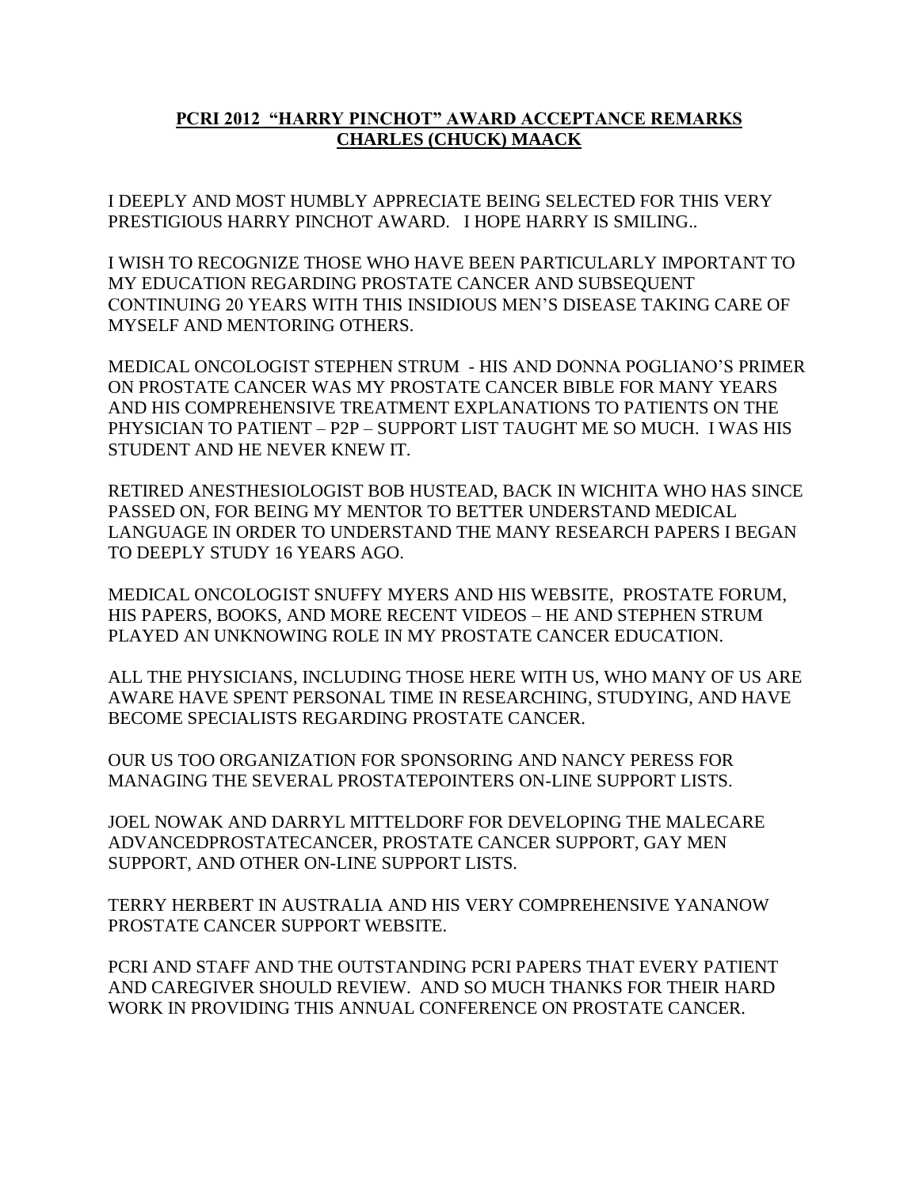## **PCRI 2012 "HARRY PINCHOT" AWARD ACCEPTANCE REMARKS CHARLES (CHUCK) MAACK**

I DEEPLY AND MOST HUMBLY APPRECIATE BEING SELECTED FOR THIS VERY PRESTIGIOUS HARRY PINCHOT AWARD. I HOPE HARRY IS SMILING..

I WISH TO RECOGNIZE THOSE WHO HAVE BEEN PARTICULARLY IMPORTANT TO MY EDUCATION REGARDING PROSTATE CANCER AND SUBSEQUENT CONTINUING 20 YEARS WITH THIS INSIDIOUS MEN'S DISEASE TAKING CARE OF MYSELF AND MENTORING OTHERS.

MEDICAL ONCOLOGIST STEPHEN STRUM - HIS AND DONNA POGLIANO'S PRIMER ON PROSTATE CANCER WAS MY PROSTATE CANCER BIBLE FOR MANY YEARS AND HIS COMPREHENSIVE TREATMENT EXPLANATIONS TO PATIENTS ON THE PHYSICIAN TO PATIENT – P2P – SUPPORT LIST TAUGHT ME SO MUCH. I WAS HIS STUDENT AND HE NEVER KNEW IT.

RETIRED ANESTHESIOLOGIST BOB HUSTEAD, BACK IN WICHITA WHO HAS SINCE PASSED ON, FOR BEING MY MENTOR TO BETTER UNDERSTAND MEDICAL LANGUAGE IN ORDER TO UNDERSTAND THE MANY RESEARCH PAPERS I BEGAN TO DEEPLY STUDY 16 YEARS AGO.

MEDICAL ONCOLOGIST SNUFFY MYERS AND HIS WEBSITE, PROSTATE FORUM, HIS PAPERS, BOOKS, AND MORE RECENT VIDEOS – HE AND STEPHEN STRUM PLAYED AN UNKNOWING ROLE IN MY PROSTATE CANCER EDUCATION.

ALL THE PHYSICIANS, INCLUDING THOSE HERE WITH US, WHO MANY OF US ARE AWARE HAVE SPENT PERSONAL TIME IN RESEARCHING, STUDYING, AND HAVE BECOME SPECIALISTS REGARDING PROSTATE CANCER.

OUR US TOO ORGANIZATION FOR SPONSORING AND NANCY PERESS FOR MANAGING THE SEVERAL PROSTATEPOINTERS ON-LINE SUPPORT LISTS.

JOEL NOWAK AND DARRYL MITTELDORF FOR DEVELOPING THE MALECARE ADVANCEDPROSTATECANCER, PROSTATE CANCER SUPPORT, GAY MEN SUPPORT, AND OTHER ON-LINE SUPPORT LISTS.

TERRY HERBERT IN AUSTRALIA AND HIS VERY COMPREHENSIVE YANANOW PROSTATE CANCER SUPPORT WEBSITE.

PCRI AND STAFF AND THE OUTSTANDING PCRI PAPERS THAT EVERY PATIENT AND CAREGIVER SHOULD REVIEW. AND SO MUCH THANKS FOR THEIR HARD WORK IN PROVIDING THIS ANNUAL CONFERENCE ON PROSTATE CANCER.